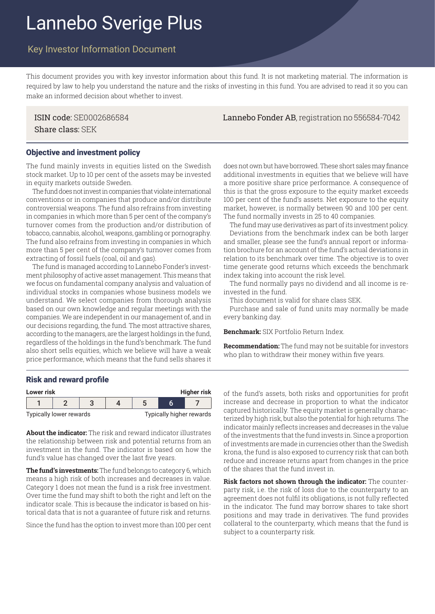# Lannebo Sverige Plus

## Key Investor Information Document

This document provides you with key investor information about this fund. It is not marketing material. The information is required by law to help you understand the nature and the risks of investing in this fund. You are advised to read it so you can make an informed decision about whether to invest.

Share class: SEK

#### Objective and investment policy

The fund mainly invests in equities listed on the Swedish stock market. Up to 10 per cent of the assets may be invested in equity markets outside Sweden.

The fund does not invest in companies that violate international conventions or in companies that produce and/or distribute controversial weapons. The fund also refrains from investing in companies in which more than 5 per cent of the company's turnover comes from the production and/or distribution of tobacco, cannabis, alcohol, weapons, gambling or pornography. The fund also refrains from investing in companies in which more than 5 per cent of the company's turnover comes from extracting of fossil fuels (coal, oil and gas).

The fund is managed according to Lannebo Fonder's investment philosophy of active asset management. This means that we focus on fundamental company analysis and valuation of individual stocks in companies whose business models we understand. We select companies from thorough analysis based on our own knowledge and regular meetings with the companies. We are independent in our management of, and in our decisions regarding, the fund. The most attractive shares, according to the managers, are the largest holdings in the fund, regardless of the holdings in the fund's benchmark. The fund also short sells equities, which we believe will have a weak price performance, which means that the fund sells shares it

does not own but have borrowed. These short sales may finance additional investments in equities that we believe will have a more positive share price performance. A consequence of this is that the gross exposure to the equity market exceeds 100 per cent of the fund's assets. Net exposure to the equity market, however, is normally between 90 and 100 per cent. The fund normally invests in 25 to 40 companies.

The fund may use derivatives as part of its investment policy. Deviations from the benchmark index can be both larger and smaller, please see the fund's annual report or information brochure for an account of the fund's actual deviations in relation to its benchmark over time. The objective is to over time generate good returns which exceeds the benchmark index taking into account the risk level.

The fund normally pays no dividend and all income is reinvested in the fund.

This document is valid for share class SEK.

Purchase and sale of fund units may normally be made every banking day.

**Benchmark:** SIX Portfolio Return Index.

**Recommendation:** The fund may not be suitable for investors who plan to withdraw their money within five years.

#### Risk and reward profile

| <b>Higher risk</b><br>Lower risk |                         |  |  |                          |  |  |  |
|----------------------------------|-------------------------|--|--|--------------------------|--|--|--|
|                                  |                         |  |  |                          |  |  |  |
|                                  | Typically lower rewards |  |  | Typically higher rewards |  |  |  |

**About the indicator:** The risk and reward indicator illustrates the relationship between risk and potential returns from an investment in the fund. The indicator is based on how the fund's value has changed over the last five years.

**The fund's investments:** The fund belongs to category 6, which means a high risk of both increases and decreases in value. Category 1 does not mean the fund is a risk free investment. Over time the fund may shift to both the right and left on the indicator scale. This is because the indicator is based on historical data that is not a guarantee of future risk and returns.

Since the fund has the option to invest more than 100 per cent

of the fund's assets, both risks and opportunities for profit increase and decrease in proportion to what the indicator captured historically. The equity market is generally characterized by high risk, but also the potential for high returns. The indicator mainly reflects increases and decreases in the value of the investments that the fund invests in. Since a proportion of investments are made in currencies other than the Swedish krona, the fund is also exposed to currency risk that can both reduce and increase returns apart from changes in the price of the shares that the fund invest in.

**Risk factors not shown through the indicator:** The counterparty risk, i.e. the risk of loss due to the counterparty to an agreement does not fulfil its obligations, is not fully reflected in the indicator. The fund may borrow shares to take short positions and may trade in derivatives. The fund provides collateral to the counterparty, which means that the fund is subject to a counterparty risk.

## ISIN code: SE0002686584 Lannebo Fonder AB, registration no 556584-7042